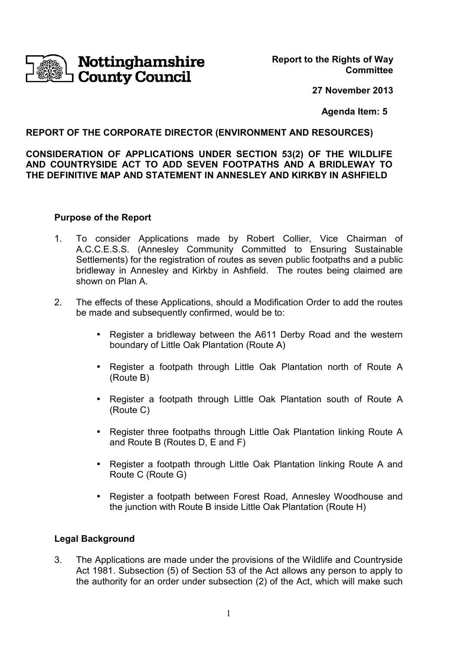

**Report to the Rights of Way Committee**

**27 November 2013**

 **Agenda Item: 5**

## **REPORT OF THE CORPORATE DIRECTOR (ENVIRONMENT AND RESOURCES)**

### **CONSIDERATION OF APPLICATIONS UNDER SECTION 53(2) OF THE WILDLIFE AND COUNTRYSIDE ACT TO ADD SEVEN FOOTPATHS AND A BRIDLEWAY TO THE DEFINITIVE MAP AND STATEMENT IN ANNESLEY AND KIRKBY IN ASHFIELD**

#### **Purpose of the Report**

- 1. To consider Applications made by Robert Collier, Vice Chairman of A.C.C.E.S.S. (Annesley Community Committed to Ensuring Sustainable Settlements) for the registration of routes as seven public footpaths and a public bridleway in Annesley and Kirkby in Ashfield. The routes being claimed are shown on Plan A.
- 2. The effects of these Applications, should a Modification Order to add the routes be made and subsequently confirmed, would be to:
	- Register a bridleway between the A611 Derby Road and the western boundary of Little Oak Plantation (Route A)
	- Register a footpath through Little Oak Plantation north of Route A (Route B)
	- Register a footpath through Little Oak Plantation south of Route A (Route C)
	- Register three footpaths through Little Oak Plantation linking Route A and Route B (Routes D, E and F)
	- Register a footpath through Little Oak Plantation linking Route A and Route C (Route G)
	- Register a footpath between Forest Road, Annesley Woodhouse and the junction with Route B inside Little Oak Plantation (Route H)

### **Legal Background**

3. The Applications are made under the provisions of the Wildlife and Countryside Act 1981. Subsection (5) of Section 53 of the Act allows any person to apply to the authority for an order under subsection (2) of the Act, which will make such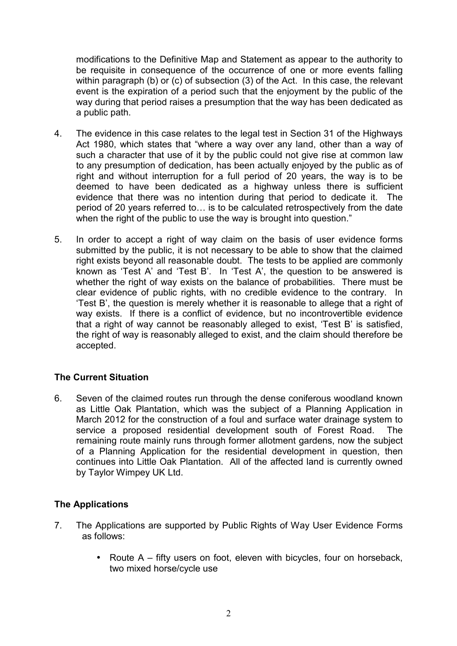modifications to the Definitive Map and Statement as appear to the authority to be requisite in consequence of the occurrence of one or more events falling within paragraph (b) or (c) of subsection (3) of the Act. In this case, the relevant event is the expiration of a period such that the enjoyment by the public of the way during that period raises a presumption that the way has been dedicated as a public path.

- 4. The evidence in this case relates to the legal test in Section 31 of the Highways Act 1980, which states that "where a way over any land, other than a way of such a character that use of it by the public could not give rise at common law to any presumption of dedication, has been actually enjoyed by the public as of right and without interruption for a full period of 20 years, the way is to be deemed to have been dedicated as a highway unless there is sufficient evidence that there was no intention during that period to dedicate it. The period of 20 years referred to... is to be calculated retrospectively from the date when the right of the public to use the way is brought into question."
- 5. In order to accept a right of way claim on the basis of user evidence forms submitted by the public, it is not necessary to be able to show that the claimed right exists beyond all reasonable doubt. The tests to be applied are commonly known as 'Test A' and 'Test B'. In 'Test A', the question to be answered is whether the right of way exists on the balance of probabilities. There must be clear evidence of public rights, with no credible evidence to the contrary. In 'Test B', the question is merely whether it is reasonable to allege that a right of way exists. If there is a conflict of evidence, but no incontrovertible evidence that a right of way cannot be reasonably alleged to exist, 'Test B' is satisfied, the right of way is reasonably alleged to exist, and the claim should therefore be accepted.

## **The Current Situation**

6. Seven of the claimed routes run through the dense coniferous woodland known as Little Oak Plantation, which was the subject of a Planning Application in March 2012 for the construction of a foul and surface water drainage system to service a proposed residential development south of Forest Road. The remaining route mainly runs through former allotment gardens, now the subject of a Planning Application for the residential development in question, then continues into Little Oak Plantation. All of the affected land is currently owned by Taylor Wimpey UK Ltd.

### **The Applications**

- 7. The Applications are supported by Public Rights of Way User Evidence Forms as follows:
	- Route A fifty users on foot, eleven with bicycles, four on horseback, two mixed horse/cycle use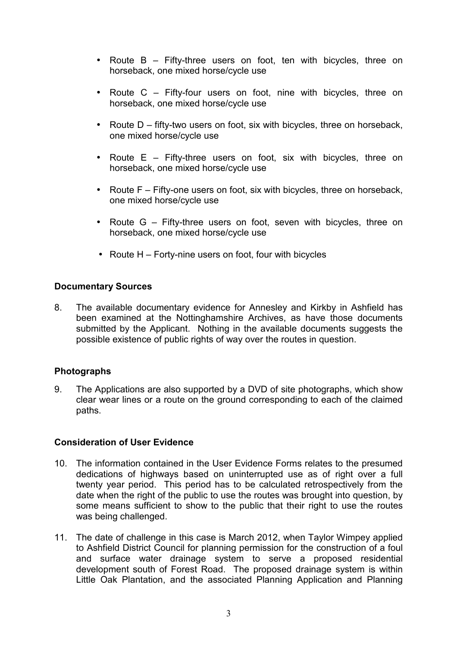- Route B Fifty-three users on foot, ten with bicycles, three on horseback, one mixed horse/cycle use
- Route C Fifty-four users on foot, nine with bicycles, three on horseback, one mixed horse/cycle use
- Route D fifty-two users on foot, six with bicycles, three on horseback, one mixed horse/cycle use
- Route E Fifty-three users on foot, six with bicycles, three on horseback, one mixed horse/cycle use
- Route F Fifty-one users on foot, six with bicycles, three on horseback, one mixed horse/cycle use
- Route G Fifty-three users on foot, seven with bicycles, three on horseback, one mixed horse/cycle use
- Route  $H -$  Forty-nine users on foot, four with bicycles

## **Documentary Sources**

8. The available documentary evidence for Annesley and Kirkby in Ashfield has been examined at the Nottinghamshire Archives, as have those documents submitted by the Applicant. Nothing in the available documents suggests the possible existence of public rights of way over the routes in question.

### **Photographs**

9. The Applications are also supported by a DVD of site photographs, which show clear wear lines or a route on the ground corresponding to each of the claimed paths.

### **Consideration of User Evidence**

- 10. The information contained in the User Evidence Forms relates to the presumed dedications of highways based on uninterrupted use as of right over a full twenty year period. This period has to be calculated retrospectively from the date when the right of the public to use the routes was brought into question, by some means sufficient to show to the public that their right to use the routes was being challenged.
- 11. The date of challenge in this case is March 2012, when Taylor Wimpey applied to Ashfield District Council for planning permission for the construction of a foul and surface water drainage system to serve a proposed residential development south of Forest Road. The proposed drainage system is within Little Oak Plantation, and the associated Planning Application and Planning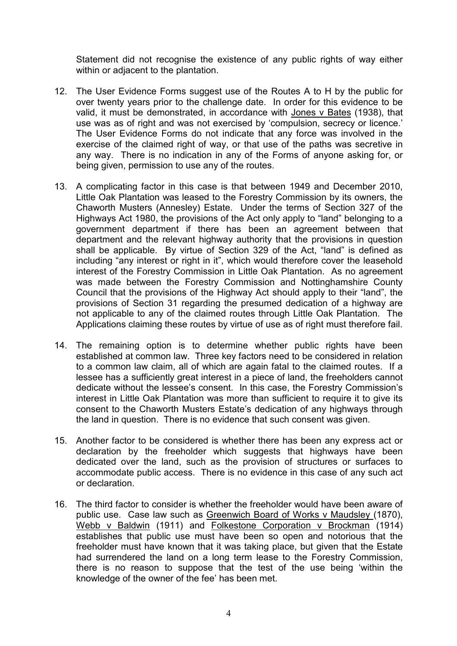Statement did not recognise the existence of any public rights of way either within or adjacent to the plantation.

- 12. The User Evidence Forms suggest use of the Routes A to H by the public for over twenty years prior to the challenge date. In order for this evidence to be valid, it must be demonstrated, in accordance with Jones v Bates (1938), that use was as of right and was not exercised by 'compulsion, secrecy or licence.' The User Evidence Forms do not indicate that any force was involved in the exercise of the claimed right of way, or that use of the paths was secretive in any way. There is no indication in any of the Forms of anyone asking for, or being given, permission to use any of the routes.
- 13. A complicating factor in this case is that between 1949 and December 2010, Little Oak Plantation was leased to the Forestry Commission by its owners, the Chaworth Musters (Annesley) Estate. Under the terms of Section 327 of the Highways Act 1980, the provisions of the Act only apply to "land" belonging to a government department if there has been an agreement between that department and the relevant highway authority that the provisions in question shall be applicable. By virtue of Section 329 of the Act, "land" is defined as including "any interest or right in it", which would therefore cover the leasehold interest of the Forestry Commission in Little Oak Plantation. As no agreement was made between the Forestry Commission and Nottinghamshire County Council that the provisions of the Highway Act should apply to their "land", the provisions of Section 31 regarding the presumed dedication of a highway are not applicable to any of the claimed routes through Little Oak Plantation. The Applications claiming these routes by virtue of use as of right must therefore fail.
- 14. The remaining option is to determine whether public rights have been established at common law. Three key factors need to be considered in relation to a common law claim, all of which are again fatal to the claimed routes. If a lessee has a sufficiently great interest in a piece of land, the freeholders cannot dedicate without the lessee's consent. In this case, the Forestry Commission's interest in Little Oak Plantation was more than sufficient to require it to give its consent to the Chaworth Musters Estate's dedication of any highways through the land in question. There is no evidence that such consent was given.
- 15. Another factor to be considered is whether there has been any express act or declaration by the freeholder which suggests that highways have been dedicated over the land, such as the provision of structures or surfaces to accommodate public access. There is no evidence in this case of any such act or declaration.
- 16. The third factor to consider is whether the freeholder would have been aware of public use. Case law such as Greenwich Board of Works v Maudsley (1870), Webb v Baldwin (1911) and Folkestone Corporation v Brockman (1914) establishes that public use must have been so open and notorious that the freeholder must have known that it was taking place, but given that the Estate had surrendered the land on a long term lease to the Forestry Commission, there is no reason to suppose that the test of the use being 'within the knowledge of the owner of the fee' has been met.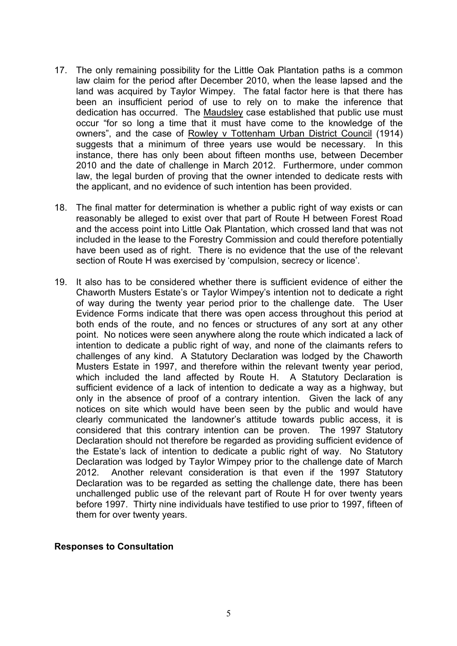- 17. The only remaining possibility for the Little Oak Plantation paths is a common law claim for the period after December 2010, when the lease lapsed and the land was acquired by Taylor Wimpey. The fatal factor here is that there has been an insufficient period of use to rely on to make the inference that dedication has occurred. The Maudsley case established that public use must occur "for so long a time that it must have come to the knowledge of the owners", and the case of Rowley v Tottenham Urban District Council (1914) suggests that a minimum of three years use would be necessary. In this instance, there has only been about fifteen months use, between December 2010 and the date of challenge in March 2012. Furthermore, under common law, the legal burden of proving that the owner intended to dedicate rests with the applicant, and no evidence of such intention has been provided.
- 18. The final matter for determination is whether a public right of way exists or can reasonably be alleged to exist over that part of Route H between Forest Road and the access point into Little Oak Plantation, which crossed land that was not included in the lease to the Forestry Commission and could therefore potentially have been used as of right. There is no evidence that the use of the relevant section of Route H was exercised by 'compulsion, secrecy or licence'.
- 19. It also has to be considered whether there is sufficient evidence of either the Chaworth Musters Estate's or Taylor Wimpey's intention not to dedicate a right of way during the twenty year period prior to the challenge date. The User Evidence Forms indicate that there was open access throughout this period at both ends of the route, and no fences or structures of any sort at any other point. No notices were seen anywhere along the route which indicated a lack of intention to dedicate a public right of way, and none of the claimants refers to challenges of any kind. A Statutory Declaration was lodged by the Chaworth Musters Estate in 1997, and therefore within the relevant twenty year period, which included the land affected by Route H. A Statutory Declaration is sufficient evidence of a lack of intention to dedicate a way as a highway, but only in the absence of proof of a contrary intention. Given the lack of any notices on site which would have been seen by the public and would have clearly communicated the landowner's attitude towards public access, it is considered that this contrary intention can be proven. The 1997 Statutory Declaration should not therefore be regarded as providing sufficient evidence of the Estate's lack of intention to dedicate a public right of way. No Statutory Declaration was lodged by Taylor Wimpey prior to the challenge date of March 2012. Another relevant consideration is that even if the 1997 Statutory Declaration was to be regarded as setting the challenge date, there has been unchallenged public use of the relevant part of Route H for over twenty years before 1997. Thirty nine individuals have testified to use prior to 1997, fifteen of them for over twenty years.

#### **Responses to Consultation**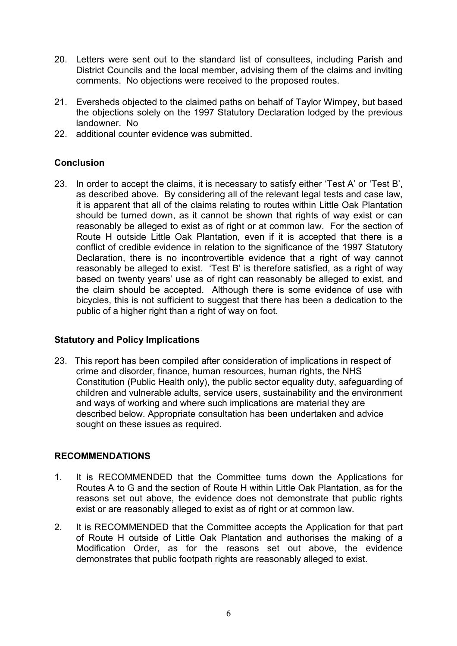- 20. Letters were sent out to the standard list of consultees, including Parish and District Councils and the local member, advising them of the claims and inviting comments. No objections were received to the proposed routes.
- 21. Eversheds objected to the claimed paths on behalf of Taylor Wimpey, but based the objections solely on the 1997 Statutory Declaration lodged by the previous landowner. No
- 22. additional counter evidence was submitted.

## **Conclusion**

23. In order to accept the claims, it is necessary to satisfy either 'Test A' or 'Test B', as described above. By considering all of the relevant legal tests and case law, it is apparent that all of the claims relating to routes within Little Oak Plantation should be turned down, as it cannot be shown that rights of way exist or can reasonably be alleged to exist as of right or at common law. For the section of Route H outside Little Oak Plantation, even if it is accepted that there is a conflict of credible evidence in relation to the significance of the 1997 Statutory Declaration, there is no incontrovertible evidence that a right of way cannot reasonably be alleged to exist. 'Test B' is therefore satisfied, as a right of way based on twenty years' use as of right can reasonably be alleged to exist, and the claim should be accepted. Although there is some evidence of use with bicycles, this is not sufficient to suggest that there has been a dedication to the public of a higher right than a right of way on foot.

## **Statutory and Policy Implications**

23. This report has been compiled after consideration of implications in respect of crime and disorder, finance, human resources, human rights, the NHS Constitution (Public Health only), the public sector equality duty, safeguarding of children and vulnerable adults, service users, sustainability and the environment and ways of working and where such implications are material they are described below. Appropriate consultation has been undertaken and advice sought on these issues as required.

# **RECOMMENDATIONS**

- 1. It is RECOMMENDED that the Committee turns down the Applications for Routes A to G and the section of Route H within Little Oak Plantation, as for the reasons set out above, the evidence does not demonstrate that public rights exist or are reasonably alleged to exist as of right or at common law.
- 2. It is RECOMMENDED that the Committee accepts the Application for that part of Route H outside of Little Oak Plantation and authorises the making of a Modification Order, as for the reasons set out above, the evidence demonstrates that public footpath rights are reasonably alleged to exist.